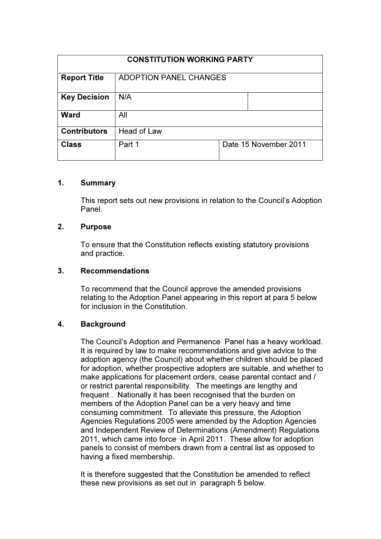| <b>CONSTITUTION WORKING PARTY</b> |                               |                       |
|-----------------------------------|-------------------------------|-----------------------|
| <b>Report Title</b>               | <b>ADOPTION PANEL CHANGES</b> |                       |
| <b>Key Decision</b>               | N/A                           |                       |
| <b>Ward</b>                       | All                           |                       |
| <b>Contributors</b>               | Head of Law                   |                       |
| <b>Class</b>                      | Part 1                        | Date 15 November 2011 |

## 1. Summary

This report sets out new provisions in relation to the Council's Adoption Panel.

## 2. Purpose

To ensure that the Constitution reflects existing statutory provisions and practice.

#### 3. Recommendations

To recommend that the Council approve the amended provisions relating to the Adoption Panel appearing in this report at para 5 below for inclusion in the Constitution.

## 4. Background

The Council's Adoption and Permanence Panel has a heavy workload. It is required by law to make recommendations and give advice to the adoption agency (the Council) about whether children should be placed for adoption, whether prospective adopters are suitable, and whether to make applications for placement orders, cease parental contact and / or restrict parental responsibility. The meetings are lengthy and frequent . Nationally it has been recognised that the burden on members of the Adoption Panel can be a very heavy and time consuming commitment. To alleviate this pressure, the Adoption Agencies Regulations 2005 were amended by the Adoption Agencies and Independent Review of Determinations (Amendment) Regulations 2011, which came into force in April 2011. These allow for adoption panels to consist of members drawn from a central list as opposed to having a fixed membership.

It is therefore suggested that the Constitution be amended to reflect these new provisions as set out in paragraph 5 below.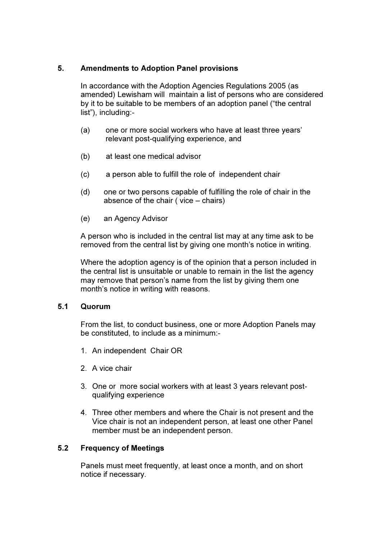### 5. Amendments to Adoption Panel provisions

In accordance with the Adoption Agencies Regulations 2005 (as amended) Lewisham will maintain a list of persons who are considered by it to be suitable to be members of an adoption panel ("the central list"), including:-

- (a) one or more social workers who have at least three years' relevant post-qualifying experience, and
- (b) at least one medical advisor
- (c) a person able to fulfill the role of independent chair
- (d) one or two persons capable of fulfilling the role of chair in the absence of the chair ( vice – chairs)
- (e) an Agency Advisor

A person who is included in the central list may at any time ask to be removed from the central list by giving one month's notice in writing.

Where the adoption agency is of the opinion that a person included in the central list is unsuitable or unable to remain in the list the agency may remove that person's name from the list by giving them one month's notice in writing with reasons.

#### 5.1 Quorum

From the list, to conduct business, one or more Adoption Panels may be constituted, to include as a minimum:-

- 1. An independent Chair OR
- 2. A vice chair
- 3. One or more social workers with at least 3 years relevant postqualifying experience
- 4. Three other members and where the Chair is not present and the Vice chair is not an independent person, at least one other Panel member must be an independent person.

## 5.2 Frequency of Meetings

Panels must meet frequently, at least once a month, and on short notice if necessary.